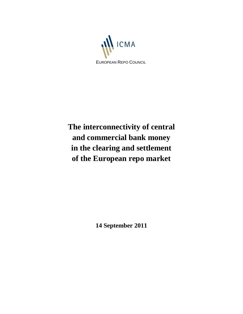

**The interconnectivity of central and commercial bank money in the clearing and settlement of the European repo market**

**14 September 2011**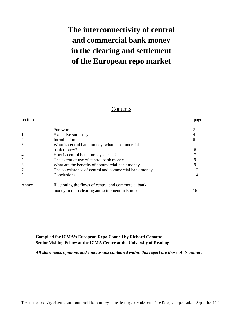# **The interconnectivity of central and commercial bank money in the clearing and settlement of the European repo market**

## Contents

| section        |                                                       | page |
|----------------|-------------------------------------------------------|------|
|                | Foreword                                              |      |
|                | Executive summary                                     |      |
| $\overline{2}$ | Introduction                                          | 6    |
| 3              | What is central bank money, what is commercial        |      |
|                | bank money?                                           | 6    |
| 4              | How is central bank money special?                    |      |
| 5              | The extent of use of central bank money               |      |
| 6              | What are the benefits of commercial bank money        |      |
| 7              | The co-existence of central and commercial bank money | 12   |
| 8              | Conclusions                                           | 14   |
| Annex          | Illustrating the flows of central and commercial bank |      |
|                | money in repo clearing and settlement in Europe       | 16   |

## **Compiled for ICMA's European Repo Council by Richard Comotto, Senior Visiting Fellow at the ICMA Centre at the University of Reading**

*All statements, opinions and conclusions contained within this report are those of its author.*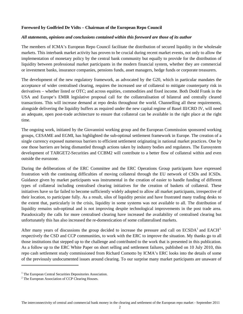# **Foreword by Godfried De Vidts – Chairman of the European Repo Council**

## *All statements, opinions and conclusions contained within this foreword are those of its author*

The members of ICMA's European Repo Council facilitate the distribution of secured liquidity in the wholesale markets. This interbank market activity has proven to be crucial during recent market events, not only to allow the implementation of monetary policy by the central bank community but equally to provide for the distribution of liquidity between professional market participants in the modern financial system, whether they are commercial or investment banks, insurance companies, pensions funds, asset managers, hedge funds or corporate treasurers.

The development of the new regulatory framework, as advocated by the G20, which in particular mandates the acceptance of wider centralised clearing, requires the increased use of collateral to mitigate counterparty risk in derivatives – whether listed or OTC; and across equities, commodities and fixed income. Both Dodd Frank in the USA and Europe's EMIR legislative proposal call for the collateralisation of bilateral and centrally cleared transactions. This will increase demand at repo desks throughout the world. Channelling all these requirements, alongside delivering the liquidity buffers as required under the new capital regime of Basel III/CRD IV, will need an adequate, open post-trade architecture to ensure that collateral can be available in the right place at the right time.

The ongoing work, initiated by the Giovannini working group and the European Commission sponsored working groups, CESAME and EGMI, has highlighted the sub-optimal settlement framework in Europe. The creation of a single currency exposed numerous barriers to efficient settlement originating in national market practices. One by one those barriers are being dismantled through actions taken by industry bodies and regulators. The Eurosystem development of TARGET2-Securities and CCBM2 will contribute to a better flow of collateral within and even outside the eurozone.

During the deliberations of the ERC Committee and the ERC Operations Group participants have expressed frustration with the continuing difficulties of moving collateral through the EU network of CSDs and ICSDs. Guidance given by market participants was instrumental in the creation of easier to handle funding of different types of collateral including centralised clearing initiatives for the creation of baskets of collateral. These initiatives have so far failed to become sufficiently widely adopted to allow all market participants, irrespective of their location, to participate fully. As a result, silos of liquidity persist and have frustrated many trading desks to the extent that, particularly in the crisis, liquidity in some systems was not available to all. The distribution of liquidity remains sub-optimal and is not improving despite technological improvements in the post trade area. Paradoxically the calls for more centralised clearing have increased the availability of centralised clearing but unfortunately this has also increased the re-domestication of some collateralised markets.

After many years of discussions the group decided to increase the pressure and call on  $ECSDA<sup>1</sup>$  $ECSDA<sup>1</sup>$  $ECSDA<sup>1</sup>$  and  $EACH<sup>2</sup>$  $EACH<sup>2</sup>$  $EACH<sup>2</sup>$ respectively the CSD and CCP communities, to work with the ERC to improve the situation. My thanks go to all those institutions that stepped up to the challenge and contributed to the work that is presented in this publication. As a follow up to the ERC White Paper on short selling and settlement failures, published on 10 July 2010, this repo cash settlement study commissioned from Richard Comotto by ICMA's ERC looks into the details of some of the previously undocumented issues around clearing. To our surprise many market participants are unaware of

l

<span id="page-2-0"></span><sup>&</sup>lt;sup>1</sup> The European Central Securities Depositories Association.

<span id="page-2-1"></span><sup>&</sup>lt;sup>2</sup> The European Association of CCP Clearing Houses.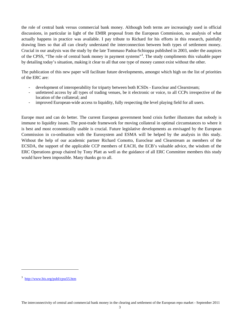the role of central bank versus commercial bank money. Although both terms are increasingly used in official discussions, in particular in light of the EMIR proposal from the European Commission, no analysis of what actually happens in practice was available. I pay tribute to Richard for his efforts in this research, painfully drawing lines so that all can clearly understand the interconnection between both types of settlement money. Crucial in our analysis was the study by the late Tommaso Padoa-Schioppa published in 2003, under the auspices of the CPSS, "The role of central bank money in payment systems"<sup>[3](#page-3-0)</sup>. The study compliments this valuable paper by detailing today's situation, making it clear to all that one type of money cannot exist without the other.

The publication of this new paper will facilitate future developments, amongst which high on the list of priorities of the ERC are:

- development of interoperability for triparty between both ICSDs Euroclear and Clearstream;
- unfettered access by all types of trading venues, be it electronic or voice, to all CCPs irrespective of the location of the collateral; and
- improved European-wide access to liquidity, fully respecting the level playing field for all users.

Europe must and can do better. The current European government bond crisis further illustrates that nobody is immune to liquidity issues. The post-trade framework for moving collateral in optimal circumstances to where it is best and most economically usable is crucial. Future legislative developments as envisaged by the European Commission in co-ordination with the Eurosystem and ESMA will be helped by the analysis in this study. Without the help of our academic partner Richard Comotto, Euroclear and Clearstream as members of the ECSDA, the support of the applicable CCP members of EACH, the ECB's valuable advice, the wisdom of the ERC Operations group chaired by Tony Platt as well as the guidance of all ERC Committee members this study would have been impossible. Many thanks go to all.

 $\overline{\phantom{a}}$ 

<span id="page-3-0"></span><sup>3</sup> <http://www.bis.org/publ/cpss55.htm>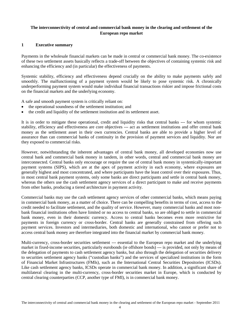# **The interconnectivity of central and commercial bank money in the clearing and settlement of the European repo market**

# **1 Executive summary**

Payments in the wholesale financial markets can be made in central or commercial bank money. The co-existence of these two settlement assets basically reflects a trade-off between the objectives of containing systemic risk and enhancing the efficiency and (in particular) the effectiveness of payments.

Systemic stability, efficiency and effectiveness depend crucially on the ability to make payments safely and smoothly. The malfunctioning of a payment system would be likely to pose systemic risk. A chronically underperforming payment system would make individual financial transactions riskier and impose frictional costs on the financial markets and the underlying economy.

A safe and smooth payment system is critically reliant on:

- the operational soundness of the settlement institution; and
- the credit and liquidity of the settlement institution and its settlement asset.

It is in order to mitigate these operational, credit and liquidity risks that central banks --- for whom systemic stability, efficiency and effectiveness are core objectives --- act as settlement institutions and offer central bank money as the settlement asset in their own currencies. Central banks are able to provide a higher level of assurance than can commercial banks of continuity in the provision of payment services and liquidity. Nor are they exposed to commercial risks.

However, notwithstanding the inherent advantages of central bank money, all developed economies now use central bank and commercial bank money in tandem, in other words, central and commercial bank money are interconnected. Central banks only encourage or require the use of central bank money in systemically-important payment systems (SIPS), which are at the apex of payment activity in each economy, where exposures are generally highest and most concentrated, and where participants have the least control over their exposures. Thus, in most central bank payment systems, only some banks are direct participants and settle in central bank money, whereas the others use the cash settlement agency services of a direct participant to make and receive payments from other banks, producing a tiered architecture in payment activity.

Commercial banks may use the cash settlement agency services of other commercial banks, which means paying in commercial bank money, as a matter of choice. There can be compelling benefits in terms of cost, access to the credit needed to facilitate settlement, and the quality of service. However, many commercial banks and most nonbank financial institutions often have limited or no access to central banks, so are obliged to settle in commercial bank money, even in their domestic currency. Access to central banks becomes even more restrictive for payments in foreign currency or cross-border. Central banks are generally constrained from offering such payment services. Investors and intermediaries, both domestic and international, who cannot or prefer not to access central bank money are therefore integrated into the financial market by commercial bank money.

Multi-currency, cross-border securities settlement --- essential to the European repo market and the underlying market in fixed-income securities, particularly eurobonds (ie offshore bonds) --- is provided, not only by means of the delegation of payments to cash settlement agency banks, but also through the delegation of securities delivery to securities settlement agency banks ("custodian banks") and the services of specialized institutions in the form of Financial Market Infrastructures (FMIs), such as the International Central Securities Depositories (ICSDs). Like cash settlement agency banks, ICSDs operate in commercial bank money. In addition, a significant share of multilateral clearing in the multi-currency, cross-border securities market in Europe, which is conducted by central clearing counterparties (CCP, another type of FMI), is in commercial bank money.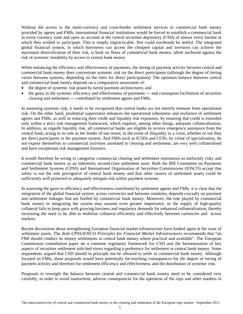Without the access to the multi-currency and cross-border settlement services in commercial bank money provided by agents and FMIs, international financial institutions would be forced to establish a commercial bank in every currency zone and open an account at the central securities depository (CSD) of almost every market in which they wished to participate. This is simply impracticable. Nor could eurobonds be settled. The integrated global financial system, in which borrowers can access the cheapest capital and investors can achieve the maximum diversification of their risk, is built on flows of commercial bank money, albeit anchored against the risk of systemic instability by access to central bank money.

While enhancing the efficiency and effectiveness of payments, the tiering of payment activity between central and commercial bank money does concentrate systemic risk on the direct participants (although the degree of tiering varies between systems, depending on the rules for direct participation). The optimum balance between central and commercial bank money depends on a comparative assessment of:

- the degree of systemic risk posed by tiered payment architectures; and
- the gains in the systemic efficiency and effectiveness of payments --- and consequent facilitation of securities clearing and settlement --- contributed by settlement agents and FMIs.

In assessing systemic risk, it needs to be recognized that central banks are not entirely immune from operational risk. On the other hand, prudential supervision enhances the operational robustness and resilience of settlement agents and FMIs, as well as reducing their credit and liquidity risk exposures, by ensuring that credit is extended only within a strict risk management framework, which requires, among other things, adequate collateralisation. In addition, as regards liquidity risk, all commercial banks are eligible to receive emergency assistance from the central bank, acting in its role as the lender of last resort, in the event of illiquidity in a crisis, whether or not they are direct participants in the payment system. And FMIs such as ICSDs and CCPs, by virtue of specialisation, do not expose themselves to commercial activities unrelated to clearing and settlement, are very well collateralised and have exceptional risk management histories.

It would therefore be wrong to categorise commercial clearing and settlement institutions as uniformly risky and commercial bank money as an inherently second-class settlement asset. Both the BIS Committee on Payments and Settlement Systems (CPSS) and International Organisation of Securities Commissions (IOSCO) accept that safety is not the sole prerogative of central bank money and that other issuers of settlement assets could be sufficiently well protected to adequately mitigate risk within payment systems.

In assessing the gains in efficiency and effectiveness contributed by settlement agents and FMIs, it is clear that the integration of the global financial system, across currencies and between countries, depends crucially on payment and settlement linkages that are fuelled by commercial bank money. Moreover, the role played by commercial bank money in integrating the system may assume even greater importance, as the supply of high-quality collateral fails to keep pace with growing business and regulatory demands for enhanced collateralisation, thereby increasing the need to be able to mobilise collateral efficiently and effectively between currencies and across markets.

Recent discussions about strengthening European financial market infrastructure have looked again at the issue of settlement assets. The draft CPSS/IOSCO *Principles for Financial Market Infrastructures* recommends that "an FMI should conduct its money settlements in central bank money where practical and available". The European Commission consultation paper on a common regulatory framework for CSD and the harmonisation of key aspects of securities settlement solicited views regarding a preference for settlement in central bank money. Some respondents argued that CSD should in principle not be allowed to settle in commercial bank money. Although focused on FMIs, these proposals would have potentially far-reaching consequences for the degree of tiering of payment activity and therefore for settlement efficiency and effectiveness, and the distribution of systemic risk.

Proposals to reweight the balance between central and commercial bank money need to be considered very carefully, in order to avoid inadvertent, adverse consequences for the operation of the repo and other markets in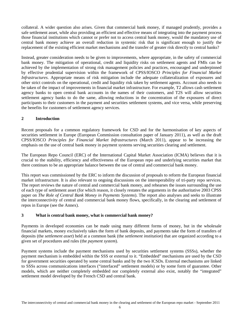collateral. A wider question also arises. Given that commercial bank money, if managed prudently, provides a safe settlement asset, while also providing an efficient and effective means of integrating into the payment process those financial institutions which cannot or prefer not to access central bank money, would the mandatory use of central bank money achieve an overall reduction in systemic risk that is significant enough to justify the replacement of the existing efficient market mechanisms and the transfer of greater risk directly to central banks?

Instead, greater consideration needs to be given to improvements, where appropriate, in the safety of commercial bank money. The mitigation of operational, credit and liquidity risks on settlement agents and FMIs can be achieved by the implementation of strong risk management policies and practices, encouraged and underpinned by effective prudential supervision within the framework of CPSS/IOSCO *Principles for Financial Market Infrastructures*. Appropriate means of risk mitigation include the adequate collateralization of exposures and other strict controls on the operational, credit and liquidity risk taken by settlement agents. Account also needs to be taken of the impact of improvements in financial market infrastructure. For example, T2 allows cash settlement agency banks to open central bank accounts in the names of their customers, and T2S will allow securities settlement agency banks to do the same, allowing reductions in the concentration of the exposures of direct participants to their customers in the payment and securities settlement systems, and vice versa, while preserving the benefits for customers of settlement agency services.

## **2 Introduction**

Recent proposals for a common regulatory framework for CSD and for the harmonisation of key aspects of securities settlement in Europe (European Commission consultation paper of January 2011), as well as the draft CPSS/IOSCO *Principles for Financial Market Infrastructures* (March 2011), appear to be increasing the emphasis on the use of central bank money in payment systems serving securities clearing and settlement.

The European Repo Council (ERC) of the International Capital Market Association (ICMA) believes that it is crucial to the stability, efficiency and effectiveness of the European repo and underlying securities market that there continues to be an appropriate balance between the use of central and commercial bank money.

This report was commissioned by the ERC to inform the discussion of proposals to reform the European financial market infrastructure. It is also relevant to ongoing discussions on the interoperability of tri-party repo services. The report reviews the nature of central and commercial bank money, and rehearses the issues surrounding the use of each type of settlement asset (for which reason, it closely restates the arguments in the authoritative 2003 CPSS paper on *The Role of Central Bank Money in Payments Systems*). The report also analyses and seeks to illustrate the interconnectivity of central and commercial bank money flows, specifically, in the clearing and settlement of repos in Europe (see the Annex).

# **3 What is central bank money, what is commercial bank money?**

Payments in developed economies can be made using many different forms of money, but in the wholesale financial markets, money exclusively takes the form of bank deposits, and payments take the form of transfers of deposits (the *settlement asset*) held at a common bank (the *settlement institution*) that are organized according to a given set of procedures and rules (the *payment system*).

Payment systems include the payment mechanisms used by securities settlement systems (SSSs), whether the payment mechanism is embedded within the SSS or external to it. "Embedded" mechanisms are used by the CSD for government securities operated by some central banks and by the two ICSDs. External mechanisms are linked to SSSs across communications interfaces ("interfaced" settlement models) or by some form of guarantee. Other models, which are neither completely embedded nor completely external also exist, notably the "integrated" settlement model developed by the French CSD and central bank.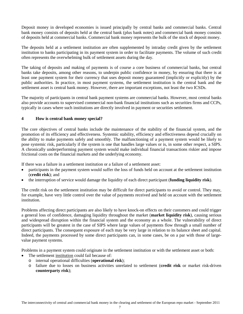Deposit money in developed economies is issued principally by central banks and commercial banks. Central bank money consists of deposits held at the central bank (plus bank notes) and commercial bank money consists of deposits held at commercial banks. Commercial bank money represents the bulk of the stock of deposit money.

The deposits held at a settlement institution are often supplemented by intraday credit given by the settlement institution to banks participating in its payment system in order to facilitate payments. The volume of such credit often represents the overwhelming bulk of settlement assets during the day.

The taking of deposits and making of payments is of course a core business of commercial banks, but central banks take deposits, among other reasons, to underpin public confidence in money, by ensuring that there is at least one payment system for their currency that uses deposit money guaranteed (implicitly or explicitly) by the public authorities. In practice, in most payment systems, the settlement institution is the central bank and the settlement asset is central bank money. However, there are important exceptions, not least the two ICSDs.

The majority of participants in central bank payment systems are commercial banks. However, most central banks also provide accounts to supervised commercial non-bank financial institutions such as securities firms and CCPs, typically in cases where such institutions are directly involved in payment or securities settlement.

## **4 How is central bank money special?**

The core objectives of central banks include the maintenance of the stability of the financial system, and the promotion of its efficiency and effectiveness. Systemic stability, efficiency and effectiveness depend crucially on the ability to make payments safely and smoothly. The malfunctioning of a payment system would be likely to pose systemic risk, particularly if the system is one that handles large values or is, in some other respect, a SIPS. A chronically underperforming payment system would make individual financial transactions riskier and impose frictional costs on the financial markets and the underlying economy.

If there was a failure in a settlement institution or a failure of a settlement asset:

- participants in the payment system would suffer the loss of funds held on account at the settlement institution (**credit risk**); and
- the interruption of service would damage the liquidity of each direct participant (**funding liquidity risk**).

The credit risk on the settlement institution may be difficult for direct participants to avoid or control. They may, for example, have very little control over the value of payments received and held on account with the settlement institution.

Problems affecting direct participants are also likely to have knock-on effects on their customers and could trigger a general loss of confidence, damaging liquidity throughout the market (**market liquidity risk**), causing serious and widespread disruption within the financial system and the economy as a whole. The vulnerability of direct participants will be greatest in the case of SIPS where large values of payments flow through a small number of direct participants. The consequent exposure of each may be very large in relation to its balance sheet and capital. Indeed, the payments processed by some direct participants can, in some cases, be on a par with those of largevalue payment systems.

Problems in a payment system could originate in the settlement institution or with the settlement asset or both:

- The settlement institution could fail because of:
	- o internal operational difficulties (**operational risk**);
	- o failure due to losses on business activities unrelated to settlement (**credit risk** or market risk-driven **counterparty risk**);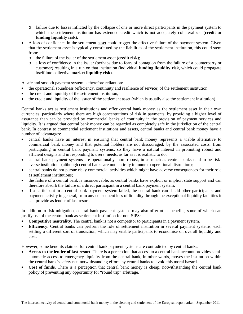- o failure due to losses inflicted by the collapse of one or more direct participants in the payment system to which the settlement institution has extended credit which is not adequately collateralized (**credit** or **funding liquidity risk**).
- A loss of confidence in the settlement asset could trigger the effective failure of the payment system. Given that the settlement asset is typically constituted by the liabilities of the settlement institution, this could stem from:
	- o the failure of the issuer of the settlement asset (**credit risk**);
	- o a loss of confidence in the issuer (perhaps due to fears of contagion from the failure of a counterparty or customer) resulting in a run on that institution (individual **funding liquidity risk**, which could propagate itself into collective **market liquidity risk**).

A safe and smooth payment system is therefore reliant on:

- the operational soundness (efficiency, continuity and resilience of service) of the settlement institution
- the credit and liquidity of the settlement institution;
- the credit and liquidity of the issuer of the settlement asset (which is usually also the settlement institution).

Central banks act as settlement institutions and offer central bank money as the settlement asset in their own currencies, particularly where there are high concentrations of risk in payments, by providing a higher level of assurance than can be provided by commercial banks of continuity in the provision of payment services and liquidity. It is argued that central bank money can be regarded as completely safe in the jurisdiction of the central bank. In contrast to commercial settlement institutions and assets, central banks and central bank money have a number of advantages:

- central banks have an interest in ensuring that central bank money represents a viable alternative to commercial bank money and that potential holders are not discouraged, by the associated costs, from participating in central bank payment systems, so they have a natural interest in promoting robust and efficient designs and in responding to users' needs, as far as it is realistic to do;
- central bank payment systems are operationally more robust, in as much as central banks tend to be riskaverse institutions (although central banks are not entirely immune to operational disruption);
- central banks do not pursue risky commercial activities which might have adverse consequences for their role as settlement institutions;
- the failure of a central bank is inconceivable, as central banks have explicit or implicit state support and can therefore absorb the failure of a direct participant in a central bank payment system;
- if a participant in a central bank payment system failed, the central bank can shield other participants, and payment activity in general, from any consequent loss of liquidity through the exceptional liquidity facilities it can provide as lender of last resort.

In addition to risk mitigation, central bank payment systems may also offer other benefits, some of which can justify use of the central bank as settlement institution for non-SIPS:

- **Competitive neutrality**. The central bank is not a competitor to participants in a payment system.
- **Efficiency**. Central banks can perform the role of settlement institution in several payment systems, each settling a different sort of transaction, which may enable participants to economise on overall liquidity and cost.

However, some benefits claimed for central bank payment systems are contradicted by central banks:

- **Access to the lender of last resort**. There is a perception that access to a central bank account provides semiautomatic access to emergency liquidity from the central bank, in other words, moves the institution within the central bank's safety net, notwithstanding efforts by central banks to avoid this moral hazard.
- **Cost of funds**. There is a perception that central bank money is cheap, notwithstanding the central bank policy of preventing any opportunity for "round trip" arbitrage*.*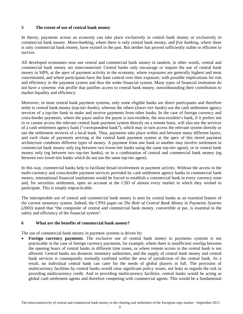# **5 The extent of use of central bank money**

In theory, payments across an economy can take place exclusively in central bank money or exclusively in commercial bank money. *Mono-banking,* where there is only central bank money, and *free banking*, where there is only commercial bank money, have existed in the past. But neither has proved sufficiently stable or efficient to survive.

All developed economies now use central and commercial bank money in tandem, in other words, central and commercial bank money are interconnected. Central banks only encourage or require the use of central bank money in SIPS, at the apex of payment activity in the economy, where exposures are generally highest and most concentrated, and where participants have the least control over their exposure, with possible implications for risk and efficiency in the payment system and thus the wider financial system. Many types of financial institution do not have a systemic risk profile that justifies access to central bank money, notwithstanding their contribution to market liquidity and efficiency.

Moreover, in most central bank payment systems, only some eligible banks are direct participants and therefore settle in central bank money (*top-tier banks*), whereas the others (*lower-tier banks*) use the cash settlement agency services of a top-tier bank to make and receive payments from other banks. In the case of foreign currency and cross-border payments, where the payer and/or the payee is non-resident, the non-resident's bank, if it prefers not to or cannot access the relevant central bank payment system directly on a remote basis, will also use the services of a cash settlement agency bank ("correspondent bank"), which may in turn access the relevant system directly or use the settlement services of a local bank. Thus, payments take place within and between many different layers, and each chain of payments arriving at the central bank payment system at the apex of this tiered payment architecture combines different types of money. A payment from one bank to another may involve settlement in commercial bank money only (eg between two lower-tier banks using the same top-tier agent), or in central bank money only (eg between two top-tier banks), or in a combination of central and commercial bank money (eg between two lower-tier banks which do not use the same top-tier agent).

In this way, commercial banks help to facilitate broad involvement in payment activity. Without the access to the multi-currency and cross-border payment services provided by cash settlement agency banks in commercial bank money, international financial institutions would be forced to establish a commercial bank in every currency zone and, for securities settlement, open an account at the CSD of almost every market in which they wished to participate. This is simply impracticable.

The interoperable use of central and commercial bank money is seen by central banks as an essential feature of the current monetary system. Indeed, the CPSS paper on *The Role of Central Bank Money in Payments Systems (2003)* stated that "the composite of central and commercial bank money, convertible at par, is essential to the safety and efficiency of the financial system".

## **6 What are the benefits of commercial bank money?**

The use of commercial bank money in payment systems is driven by:

• **Foreign currency payments**. The exclusive use of central bank money in payments systems is not practicable in the case of foreign currency payments, for example, where there is insufficient overlap between the opening hours of central banks in different time zones, or where remote access to the central bank is not allowed. Central banks are domestic monetary authorities, and the supply of central bank money and central bank services is consequently normally confined within the area of jurisdiction of the central bank. As a result, no individual central bank can cater for the needs of global players in full. The provision of multicurrency facilities by central banks would raise significant policy issues, not least as regards the risk in providing multicurrency credit. And in providing multicurrency facilities, central banks would be acting as global cash settlement agents and therefore competing with commercial agents. This would be a fundamental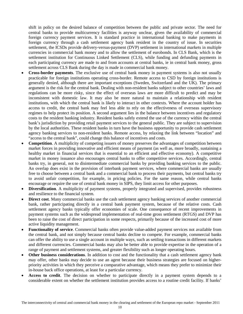shift in policy on the desired balance of competition between the public and private sector. The need for central banks to provide multicurrency facilities is anyway unclear, given the availability of commercial foreign currency payment services. It is standard practice in international banking to make payments in foreign currency through a cash settlement agency bank resident in the country of issue. In securities settlement, the ICSDs provide delivery-versus-payment (DVP) settlement in international markets in multiple currencies in commercial bank money and to allow the settlement of eurobonds. In CLS Bank, which is the settlement institution for Continuous Linked Settlement (CLS), while funding and defunding payments in each participating currency are made to and from accounts at central banks, ie in central bank money, gross settlement across CLS Bank during the day is made in commercial bank money.

- **Cross-border payments**. The exclusive use of central bank money in payment systems is also not usually practicable for foreign institutions operating cross-border. Remote access to CSD by foreign institutions is generally denied, although there are important exceptions (Sweden, Switzerland and the UK). The primary argument is the risk for the central bank. Dealing with non-resident banks subject to other countries' laws and regulations can be more risky, since the effect of overseas laws are more difficult to predict and may be inconsistent with domestic law. It may also be more natural to maintain a relationship with resident institutions, with which the central bank is likely to interact in other contexts. Where the account holder has access to credit, the central bank may feel less able to rely on the effectiveness of overseas supervisory regimes to help protect its position. A second argument lies in the balance between incentives and regulatory costs to the resident banking industry. Resident banks safely extend the use of the currency within the central bank's jurisdiction by providing retail payment services to the general public. They are subject to supervision by the local authorities. These resident banks in turn have the business opportunity to provide cash settlement agency banking services to non-resident banks. Remote access, by relaxing the link between "location" and "access to the central bank", could change this balance of incentives and costs.
- **Competition**. A multiplicity of competing issuers of money preserves the advantages of competition between market forces in providing innovative and efficient means of payment (as well as, more broadly, sustaining a healthy market in financial services that is essential to an efficient and effective economy). A competitive market in money issuance also encourages central banks to offer competitive services. Accordingly, central banks try, in general, not to disintermediate commercial banks by providing banking services to the public. An overlap does exist in the provision of interbank payment services, where commercial banks are usually free to choose between a central bank and a commercial bank to process their payments, but central banks try to avoid unfair competition, for example, in pricing policies. For the same reason, while central banks encourage or require the use of central bank money in SIPS, they limit access for other purposes.
- **Diversification**. A multiplicity of payment systems, properly integrated and supervised, provides robustness and resilience to the financial system.
- **Direct cost**. Many commercial banks use the cash settlement agency banking services of another commercial bank, rather participating directly in a central bank payment system, because of the relative costs. Cash settlement agency banks typically offer economies of scale. One consequence of recent improvements in payment systems such as the widespread implementation of real-time gross settlement (RTGS) and DVP has been to raise the cost of direct participation in some respects, primarily because of the increased cost of more active liquidity management.
- **Functionality of service**. Commercial banks often provide value-added payment services not available from the central bank, and not simply because central banks decline to compete. For example, commercial banks can offer the ability to use a single account in multiple ways, such as settling transactions in different markets and different currencies. Commercial banks may also be better able to provide expertise in the operation of a range of payment and settlement systems, and greater flexibility such as longer operating hours.
- **Other business considerations**. In addition to cost and the functionality that a cash settlement agency bank may offer, other banks may decide to use an agent because their business strategies are focused on higherpriority activities in which they perceive a comparative advantage, which means they prefer to minimize their in-house back office operations, at least for a particular currency.
- **Access to credit**. The decision on whether to participate directly in a payment system depends to a considerable extent on whether the settlement institution provides access to a routine credit facility. If banks'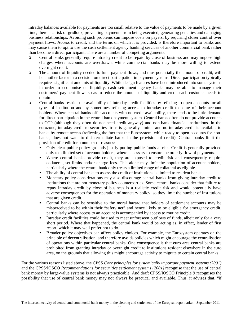intraday balances available for payments are too small relative to the value of payments to be made by a given time, there is a risk of gridlock, preventing payments from being executed, generating penalties and damaging business relationships. Avoiding such problems can impose costs on payers, by requiring closer control over payment flows. Access to credit, and the terms on which it is provided, is therefore important to banks and may cause them to opt to use the cash settlement agency banking services of another commercial bank rather than become a direct participant. There are a number of competing arguments:

- o Central banks generally require intraday credit to be repaid by close of business and may impose high charges where accounts are overdrawn, while commercial banks may be more willing to extend overnight credit.
- o The amount of liquidity needed to fund payment flows, and thus potentially the amount of credit, will be another factor in a decision on direct participation in payment systems. Direct participation typically requires significant amounts of liquidity. While design features have been introduced into some systems in order to economise on liquidity, cash settlement agency banks may be able to manage their customers' payment flows so as to reduce the amount of liquidity and credit each customer needs to obtain.
- o Central banks restrict the availability of intraday credit facilities by refusing to open accounts for all types of institution and by sometimes refusing access to intraday credit to some of their account holders. Where central banks offer accounts with no credit availability, there tends to be little demand for direct participation in the central bank payment system. Central banks often do not provide accounts to CCP (although they often do not need credit anyway) and non-bank financial institutions. In the eurozone, intraday credit to securities firms is generally limited and no intraday credit is available to banks by remote access (reflecting the fact that the Eurosystem, while ready to open accounts for nonbanks, does not want to disintermediate banks in the provision of credit). Central banks limit the provision of credit for a number of reasons:
	- Only clear public policy grounds justify putting public funds at risk. Credit is generally provided only to a limited set of account holders, where necessary to ensure the orderly flow of payments.
	- Where central banks provide credit, they are exposed to credit risk and consequently require collateral, set limits and/or charge fees. This alone may limit the population of account holders, particularly where the central bank only treats a limited range of collateral as eligible.
	- The ability of central banks to assess the credit of institutions is limited to resident banks.
	- Monetary policy considerations may also discourage central banks from giving intraday credit to institutions that are not monetary policy counterparties. Some central banks consider that failure to repay intraday credit by close of business is a realistic credit risk and would potentially have adverse consequences for the operation of monetary policy, so they limit the number of institutions that are given credit.
	- Central banks can be sensitive to the moral hazard that holders of settlement accounts may be misperceived to be within their "safety net" and hence likely to be eligible for emergency credit, particularly where access to an account is accompanied by access to routine credit.
	- Intraday credit facilities could be used to meet unforeseen outflows of funds, albeit only for a very short period. Where that happened, the central bank would be acting as, in effect, lender of first resort, which it may well prefer not to do.
	- Broader policy objectives can affect policy choices. For example, the Eurosystem operates on the principle of decentralisation, and therefore avoids policies which might encourage the centralisation of operations within particular central banks. One consequence is that euro area central banks are prohibited from granting intraday or overnight credit to institutions resident elsewhere in the euro area, on the grounds that allowing this might encourage activity to migrate to certain central banks.

For the various reasons listed above, the CPSS *Core principles for systemically important payment systems (2001)*  and the CPSS/IOSCO *Recommendations for securities settlement systems (2001)* recognise that the use of central bank money by large-value systems is not always practicable. And draft CPSS/IOSCO Principle 9 recognises the possibility that use of central bank money may not always be practical and available. Thus, it advises that, "if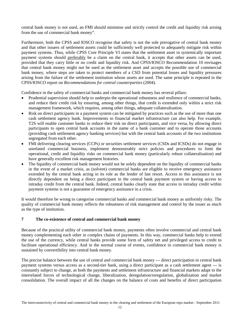central bank money is not used, an FMI should minimise and strictly control the credit and liquidity risk arising from the use of commercial bank money".

Furthermore, both the CPSS and IOSCO recognise that safety is not the sole prerogative of central bank money and that other issuers of settlement assets could be sufficiently well protected to adequately mitigate risk within payment systems. Thus, while CPSS Core Principle VI states that the settlement asset in systemically important payment systems should preferably be a claim on the central bank, it accepts that other assets can be used, provided that they carry little or no credit and liquidity risk. And CPSS/IOSCO Recommendation 10 envisages that central bank money might not be used as the settlement asset and accepts the possible use of commercial bank money, where steps are taken to protect members of a CSD from potential losses and liquidity pressures arising from the failure of the settlement institution whose assets are used. The same principle is repeated in the CPSS/IOSCO report on *Recommendations for central counterparties* (2004).

Confidence in the safety of commercial banks and commercial bank money has several pillars:

- Prudential supervision should help to underpin the operational robustness and resilience of commercial banks, and reduce their credit risk by ensuring, among other things, that credit is extended only within a strict risk management framework, which requires, among other things, adequate collateralisation.
- Risk on direct participants in a payment system can be mitigated by practices such as the use of more than one cash settlement agency bank. Improvements to financial market infrastructure can also help. For example, T2S will enable customer banks to reduce their risk on direct participants, and vice versa, by allowing direct participants to open central bank accounts in the name of a bank customer and to operate those accounts (providing cash settlement agency banking services) but with the central bank accounts of the two institutions segregated from each other.
- FMI delivering clearing services (CCPs) or securities settlement services (CSDs and ICSDs) do not engage in unrelated commercial business, implement demonstrably strict policies and procedures to limit the operational, credit and liquidity risks on commercial bank money (particularly robust collateralisation) and have generally excellent risk management histories.
- The liquidity of commercial bank money would not be solely dependent on the liquidity of commercial banks in the event of a market crisis, as (solvent) commercial banks are eligible to receive emergency assistance extended by the central bank acting in its role as the lender of last resort. Access to this assistance is not directly dependent on being a direct participant in the central bank payment system or having access to intraday credit from the central bank. Indeed, central banks clearly state that access to intraday credit within payment systems is not a guarantee of emergency assistance in a crisis.

It would therefore be wrong to categorise commercial banks and commercial bank money as uniformly risky. The quality of commercial bank money reflects the robustness of risk management and control by the issuer as much as the type of institution.

# **7 The co-existence of central and commercial bank money**

Because of the practical utility of commercial bank money, payments often involve commercial and central bank money complementing each other in complex chains of payments. In this way, commercial banks help to extend the use of the currency, while central banks provide some form of safety net and privileged access to credit to facilitate operational efficiency. And in the normal course of events, confidence in commercial bank money is sustained by convertibility into central bank money.

The precise balance between the use of central and commercial bank money --- direct participation in central bank payment systems versus access as a second-tier bank, using a direct participant as a cash settlement agent --- is constantly subject to change, as both the payments and settlement infrastructure and financial markets adapt to the interrelated forces of technological change, liberalization, deregulation/reregulation, globalization and market consolidation. The overall impact of all the changes on the balance of costs and benefits of direct participation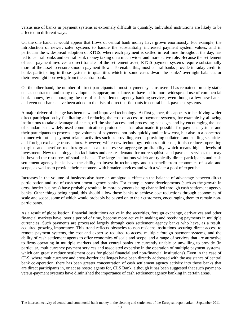versus use of banks in payment systems is extremely difficult to quantify. Individual institutions are likely to be affected in different ways.

On the one hand, it would appear that flows of central bank money have grown enormously. For example, the introduction of newer, safer systems to handle the substantially increased payment system values, and in particular the widespread adoption of RTGS, where each payment is settled in real time throughout the day, has led to central banks and central bank money taking on a much wider and more active role. Because the settlement of each payment involves a direct transfer of the settlement asset, RTGS payment systems require substantially more of the asset to ensure smooth payment flows. To enable this, most central banks provide intraday credit to banks participating in these systems in quantities which in some cases dwarf the banks' overnight balances or their overnight borrowing from the central bank.

On the other hand, the number of direct participants in most payment systems overall has remained broadly static or has contracted and many developments appear, on balance, to have led to more widespread use of commercial bank money, by encouraging the use of cash settlement agency banking services, even though a few new banks and even non-banks have been added to the lists of direct participants in central bank payment systems.

A major driver of change has been new and improved technology. At first glance, this appears to be driving wider direct participation by facilitating and reducing the cost of access to payment systems, for example by allowing institutions to take advantage of cheap, off-the-shelf access and processing packages and by encouraging the use of standardised, widely used communications protocols. It has also made it possible for payment systems and their participants to process large volumes of payments, not only quickly and at low cost, but also in a concerted manner with other payment-related activities such as providing credit, providing collateral and settling securities and foreign exchange transactions. However, while new technology reduces unit costs, it also reduces operating margins and therefore requires greater scale to preserve aggregate profitability, which means higher levels of investment. New technology also facilitates and creates demand for more sophisticated payment services that may be beyond the resources of smaller banks. The large institutions which are typically direct participants and cash settlement agency banks have the ability to invest in technology and to benefit from economies of scale and scope, as well as to provide their customers with broader services and with a wider a pool of expertise.

Increases in the volume of business also have an ambiguous effect on the balance of advantage between direct participation and use of cash settlement agency banks. For example, some developments (such as the growth in cross-border business) have probably resulted in more payments being channelled through cash settlement agency banks. Other things being equal, this should allow those banks to achieve cost reductions through economies of scale and scope, some of which would probably be passed on to their customers, encouraging them to remain nonparticipants.

As a result of globalisation, financial institutions active in the securities, foreign exchange, derivatives and other financial markets have, over a period of time, become more active in making and receiving payments in multiple currencies. Such payments are processed largely through cash settlement agency banks who have, as a result, acquired growing importance. This trend reflects obstacles to non-resident institutions securing direct access to remote payment systems, the cost and expertise required to access multiple foreign payment systems, and the ability of cash settlement agents to offer economies of scale and scope, and a range of services that are attractive to firms operating in multiple markets and that central banks are currently unable or unwilling to provide (in particular, multicurrency payment services and associated expertise in the operation of multiple payment systems, which can greatly reduce settlement costs for global financial and non-financial institutions). Even in the case of CLS, where multicurrency and cross-border challenges have been directly addressed with the assistance of central bank co-operation, there has been greater concentration of cash settlement agency activity into those banks that are direct participants in, or act as nostro agents for, CLS Bank, although it has been suggested that such paymentversus-payment systems have diminished the importance of cash settlement agency banking in certain areas.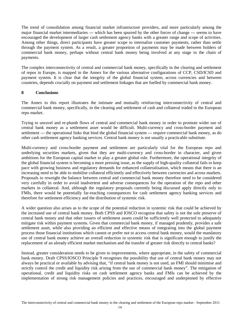The trend of consolidation among financial market infrastructure providers, and more particularly among the major financial market intermediaries --- which has been spurred by the other forces of change --- seems to have encouraged the development of larger cash settlement agency banks with a greater range and scope of activities. Among other things, direct participants have greater scope to internalise customer payments, rather than settle through the payment system. As a result, a greater proportion of payments may be made between holders of commercial bank money, perhaps without central bank money being involved at any stage in the chain of payments.

The complex interconnectivity of central and commercial bank money, specifically in the clearing and settlement of repos in Europe, is mapped in the Annex for the various alternative configurations of CCP, CSD/ICSD and payment system. It is clear that the integrity of the global financial system, across currencies and between countries, depends crucially on payment and settlement linkages that are fuelled by commercial bank money.

## **8 Conclusions**

The Annex to this report illustrates the intimate and mutually reinforcing interconnectivity of central and commercial bank money, specifically, in the clearing and settlement of cash and collateral traded in the European repo market.

Trying to unravel and re-plumb flows of central and commercial bank money in order to promote wider use of central bank money as a settlement asset would be difficult. Multi-currency and cross-border payment and settlement --- the operational links that bind the global financial system --- require commercial bank money, as do other cash settlement agency banking services. Central bank money is not usually a practicable substitute.

Multi-currency and cross-border payment and settlement are particularly vital for the European repo and underlying securities markets, given that they are multi-currency and cross-border in character, and given ambitions for the European capital market to play a greater global role. Furthermore, the operational integrity of the global financial system is becoming a more pressing issue, as the supply of high-quality collateral fails to keep pace with growing business and regulatory demands for enhanced collateralisation, which means that there is an increasing need to be able to mobilise collateral efficiently and effectively between currencies and across markets. Proposals to reweight the balance between central and commercial bank money therefore need to be considered very carefully in order to avoid inadvertent and adverse consequences for the operation of the repo and other markets in collateral. And, although the regulatory proposals currently being discussed apply directly only to FMIs, there would be potentially far-reaching consequences for cash settlement agency banking services and therefore for settlement efficiency and the distribution of systemic risk.

A wider question also arises as to the scope of the potential reduction in systemic risk that could be achieved by the increased use of central bank money. Both CPSS and IOSCO recognise that safety is not the sole preserve of central bank money and that other issuers of settlement assets could be sufficiently well protected to adequately mitigate risk within payment systems. Given that commercial bank money, if managed prudently, provides a safe settlement asset, while also providing an efficient and effective means of integrating into the global payment process those financial institutions which cannot or prefer not to access central bank money, would the mandatory use of central bank money achieve an overall reduction in systemic risk that is significant enough to justify the replacement of an already efficient market mechanism and the transfer of greater risk directly to central banks?

Instead, greater consideration needs to be given to improvements, where appropriate, in the safety of commercial bank money. Draft CPSS/IOSCO Principle 9 recognises the possibility that use of central bank money may not always be practical or available by advising that, "if central bank money is not used, an FMI should minimise and strictly control the credit and liquidity risk arising from the use of commercial bank money". The mitigation of operational, credit and liquidity risks on cash settlement agency banks and FMIs can be achieved by the implementation of strong risk management policies and practices, encouraged and underpinned by effective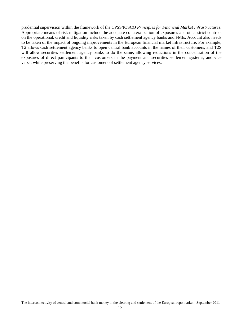prudential supervision within the framework of the CPSS/IOSCO *Principles for Financial Market Infrastructures*. Appropriate means of risk mitigation include the adequate collateralization of exposures and other strict controls on the operational, credit and liquidity risks taken by cash settlement agency banks and FMIs. Account also needs to be taken of the impact of ongoing improvements in the European financial market infrastructure. For example, T2 allows cash settlement agency banks to open central bank accounts in the names of their customers, and T2S will allow securities settlement agency banks to do the same, allowing reductions in the concentration of the exposures of direct participants to their customers in the payment and securities settlement systems, and vice versa, while preserving the benefits for customers of settlement agency services.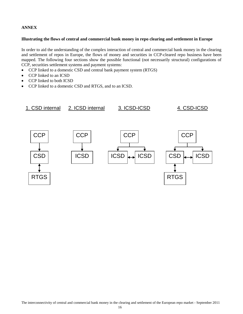# **ANNEX**

## **Illustrating the flows of central and commercial bank money in repo clearing and settlement in Europe**

In order to aid the understanding of the complex interaction of central and commercial bank money in the clearing and settlement of repos in Europe, the flows of money and securities in CCP-cleared repo business have been mapped. The following four sections show the possible functional (not necessarily structural) configurations of CCP, securities settlement systems and payment systems:

- CCP linked to a domestic CSD and central bank payment system (RTGS)
- CCP linked to an ICSD
- CCP linked to both ICSD
- CCP linked to a domestic CSD and RTGS, and to an ICSD.

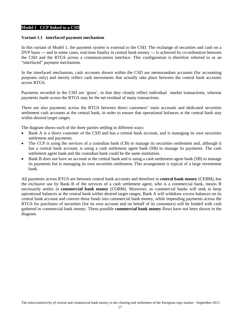#### **Model 1 CCP linked to a CSD**

#### **Variant 1.1 interfaced payment mechanism**

In this variant of Model 1, the payment system is external to the CSD. The exchange of securities and cash on a DVP basis --- and in some cases, real-time finality in central bank money --- is achieved by co-ordination between the CSD and the RTGS across a communications interface. This configuration is therefore referred to as an "interfaced" payment mechanism.

In the interfaced mechanism, cash accounts shown within the CSD are memorandum accounts (for accounting purposes only) and merely reflect cash movements that actually take place between the central bank accounts across RTGS.

Payments recorded in the CSD are 'gross', in that they closely reflect individual market transactions, whereas payments made across the RTGS may be the net residual of many transactions.

There are also payments across the RTGS between direct customers' main accounts and dedicated securities settlement cash accounts at the central bank, in order to ensure that operational balances at the central bank stay within desired target ranges.

The diagram shows each of the three parties settling in different ways:

- Bank A is a direct customer of the CSD and has a central bank account, and is managing its own securities settlement and payments.
- The CCP is using the services of a custodian bank (CB) to manage its securities settlement and, although it has a central bank account, is using a cash settlement agent bank (SB) to manage its payments. The cash settlement agent bank and the custodian bank could be the same institution.
- Bank B does not have an account at the central bank and is using a cash settlement agent bank (SB) to manage its payments but is managing its own securities settlement**.** This arrangement is typical of a large investment bank.

All payments across RTGS are between central bank accounts and therefore in **central bank money** (CEBM), but the exclusive use by Bank B of the services of a cash settlement agent, who is a commercial bank, means B necessarily settles in **commercial bank money** (COBM). Moreover, as commercial banks will seek to keep operational balances at the central bank within desired target ranges, Bank A will withdraw excess balances on its central bank account and convert these funds into commercial bank money, while impending payments across the RTGS for purchases of securities (for its own account and on behalf of its customers) will be funded with cash gathered in commercial bank money. These possible **commercial bank money** flows have not been shown in the diagram.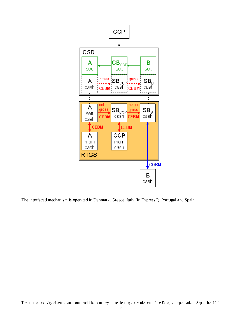

The interfaced mechanism is operated in Denmark, Greece, Italy (in Express I), Portugal and Spain.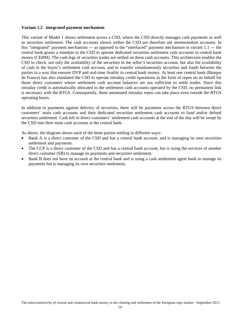## **Variant 1.2 integrated payment mechanism**

This variant of Model 1 shows settlement across a CSD, where the CSD directly manages cash payments as well as securities settlement. The cash accounts shown within the CSD are therefore not memorandum accounts. In this "integrated" payment mechanism --- as opposed to the "interfaced" payment mechanism in variant 1.1 --- the central bank grants a mandate to the CSD to operate dedicated securities settlement cash accounts in central bank money (CEBM). The cash legs of securities trades are settled on these cash accounts. This architecture enables the CSD to check, not only the availability of the securities in the seller's securities account, but also the availability of cash in the buyer's settlement cash account, and to transfer simultaneously securities and funds between the parties in a way that ensures DVP and real-time finality in central bank money. At least one central bank (Banque de France) has also mandated the CSD to operate intraday credit operations in the form of repos on its behalf for those direct customers whose settlement cash account balances are not sufficient to settle trades. Since this intraday credit is automatically allocated to the settlement cash accounts operated by the CSD, no permanent link is necessary with the RTGS. Consequently, these automated intraday repos can take place even outside the RTGS operating hours.

In addition to payments against delivery of securities, there will be payments across the RTGS between direct customers' main cash accounts and their dedicated securities settlement cash accounts to fund and/or defund securities settlement. Cash left in direct customers' settlement cash accounts at the end of the day will be swept by the CSD into their main cash accounts at the central bank.

As above, the diagram shows each of the three parties settling in different ways:

- Bank A is a direct customer of the CSD and has a central bank account, and is managing its own securities settlement and payments.
- The CCP is a direct customer of the CSD and has a central bank account, but is using the services of another direct customer (SB) to manage its payments and securities settlement.
- Bank B does not have an account at the central bank and is using a cash settlement agent bank to manage its payments but is managing its own securities settlement**.**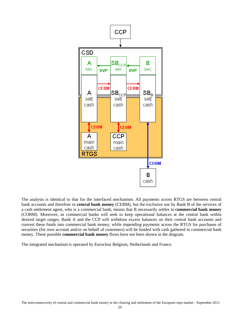

The analysis is identical to that for the interfaced mechanism. All payments across RTGS are between central bank accounts and therefore in **central bank money** (CEBM), but the exclusive use by Bank B of the services of a cash settlement agent, who is a commercial bank, means that B necessarily settles in **commercial bank money** (COBM). Moreover, as commercial banks will seek to keep operational balances at the central bank within desired target ranges, Bank A and the CCP will withdraw excess balances on their central bank accounts and convert these funds into commercial bank money, while impending payments across the RTGS for purchases of securities (for own account and/or on behalf of customers) will be funded with cash gathered in commercial bank money. These possible **commercial bank money** flows have not been shown in the diagram.

The integrated mechanism is operated by Euroclear Belgium, Netherlands and France.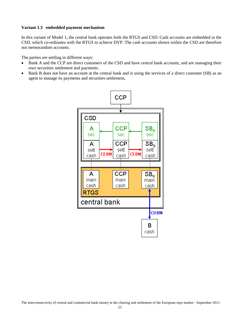## **Variant 1.3 embedded payment mechanism**

In this variant of Model 1, the central bank operates both the RTGS and CSD. Cash accounts are embedded in the CSD, which co-ordinates with the RTGS to achieve DVP. The cash accounts shown within the CSD are therefore not memorandum accounts.

The parties are settling in different ways:

- Bank A and the CCP are direct customers of the CSD and have central bank accounts, and are managing their own securities settlement and payments.
- Bank B does not have an account at the central bank and is using the services of a direct customer (SB) as an agent to manage its payments and securities settlement**.**

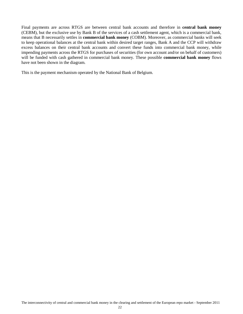Final payments are across RTGS are between central bank accounts and therefore in **central bank money** (CEBM), but the exclusive use by Bank B of the services of a cash settlement agent, which is a commercial bank, means that B necessarily settles in **commercial bank money** (COBM). Moreover, as commercial banks will seek to keep operational balances at the central bank within desired target ranges, Bank A and the CCP will withdraw excess balances on their central bank accounts and convert these funds into commercial bank money, while impending payments across the RTGS for purchases of securities (for own account and/or on behalf of customers) will be funded with cash gathered in commercial bank money. These possible **commercial bank money** flows have not been shown in the diagram.

This is the payment mechanism operated by the National Bank of Belgium.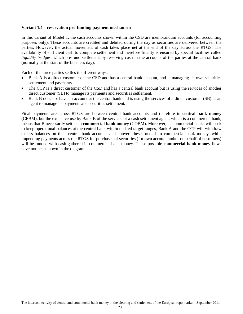## **Variant 1.4 reservation pre-funding payment mechanism**

In this variant of Model 1, the cash accounts shown within the CSD are memorandum accounts (for accounting purposes only). These accounts are credited and debited during the day as securities are delivered between the parties. However, the actual movement of cash takes place net at the end of the day across the RTGS. The availability of sufficient cash to complete settlement and therefore finality is ensured by special facilities called *liquidity bridges,* which pre-fund settlement by reserving cash in the accounts of the parties at the central bank (normally at the start of the business day).

Each of the three parties settles in different ways:

- Bank A is a direct customer of the CSD and has a central bank account, and is managing its own securities settlement and payments.
- The CCP is a direct customer of the CSD and has a central bank account but is using the services of another direct customer (SB) to manage its payments and securities settlement.
- Bank B does not have an account at the central bank and is using the services of a direct customer (SB) as an agent to manage its payments and securities settlement**.**

Final payments are across RTGS are between central bank accounts and therefore in **central bank money** (CEBM), but the exclusive use by Bank B of the services of a cash settlement agent, which is a commercial bank, means that B necessarily settles in **commercial bank money** (COBM). Moreover, as commercial banks will seek to keep operational balances at the central bank within desired target ranges, Bank A and the CCP will withdraw excess balances on their central bank accounts and convert these funds into commercial bank money, while impending payments across the RTGS for purchases of securities (for own account and/or on behalf of customers) will be funded with cash gathered in commercial bank money. These possible **commercial bank money** flows have not been shown in the diagram.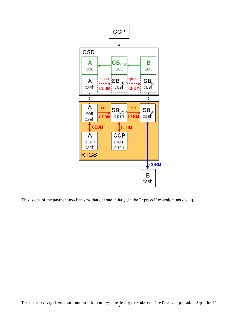

This is one of the payment mechanisms that operate in Italy (in the Express II overnight net cycle).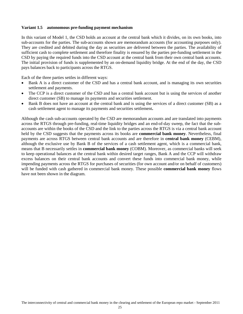## **Variant 1.5 autonomous pre-funding payment mechanism**

In this variant of Model 1, the CSD holds an account at the central bank which it divides, on its own books, into sub-accounts for the parties. The sub-accounts shown are memorandum accounts (for accounting purposes only). They are credited and debited during the day as securities are delivered between the parties. The availability of sufficient cash to complete settlement and therefore finality is ensured by the parties pre-funding settlement in the CSD by paying the required funds into the CSD account at the central bank from their own central bank accounts. The initial provision of funds is supplemented by an on-demand liquidity bridge. At the end of the day, the CSD pays balances back to participants across the RTGS.

Each of the three parties settles in different ways:

- Bank A is a direct customer of the CSD and has a central bank account, and is managing its own securities settlement and payments.
- The CCP is a direct customer of the CSD and has a central bank account but is using the services of another direct customer (SB) to manage its payments and securities settlement.
- Bank B does not have an account at the central bank and is using the services of a direct customer (SB) as a cash settlement agent to manage its payments and securities settlement**.**

Although the cash sub-accounts operated by the CSD are memorandum accounts and are translated into payments across the RTGS through pre-funding, real-time liquidity bridges and an end-of-day sweep, the fact that the subaccounts are within the books of the CSD and the link to the parties across the RTGS is via a central bank account held by the CSD suggests that the payments across its books are **commercial bank money**. Nevertheless, final payments are across RTGS between central bank accounts and are therefore in **central bank money** (CEBM), although the exclusive use by Bank B of the services of a cash settlement agent, which is a commercial bank, means that B necessarily settles in **commercial bank money** (COBM). Moreover, as commercial banks will seek to keep operational balances at the central bank within desired target ranges, Bank A and the CCP will withdraw excess balances on their central bank accounts and convert these funds into commercial bank money, while impending payments across the RTGS for purchases of securities (for own account and/or on behalf of customers) will be funded with cash gathered in commercial bank money. These possible **commercial bank money** flows have not been shown in the diagram.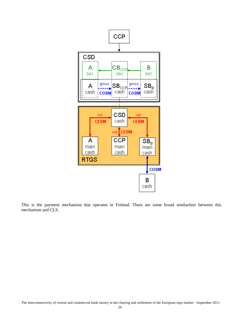

This is the payment mechanism that operates in Finland. There are some broad similarities between this mechanism and CLS.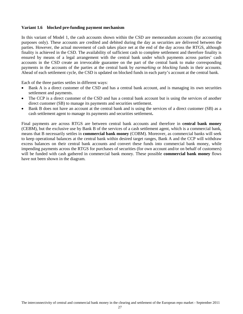## **Variant 1.6 blocked pre-funding payment mechanism**

In this variant of Model 1, the cash accounts shown within the CSD are memorandum accounts (for accounting purposes only). These accounts are credited and debited during the day as securities are delivered between the parties. However, the actual movement of cash takes place net at the end of the day across the RTGS, although finality is achieved in the CSD. The availability of sufficient cash to complete settlement and therefore finality is ensured by means of a legal arrangement with the central bank under which payments across parties' cash accounts in the CSD create an irrevocable guarantee on the part of the central bank to make corresponding payments in the accounts of the parties at the central bank by *earmarking* or *blocking* funds in their accounts. Ahead of each settlement cycle, the CSD is updated on blocked funds in each party's account at the central bank.

Each of the three parties settles in different ways:

- Bank A is a direct customer of the CSD and has a central bank account, and is managing its own securities settlement and payments.
- The CCP is a direct customer of the CSD and has a central bank account but is using the services of another direct customer (SB) to manage its payments and securities settlement.
- Bank B does not have an account at the central bank and is using the services of a direct customer (SB) as a cash settlement agent to manage its payments and securities settlement**.**

Final payments are across RTGS are between central bank accounts and therefore in **central bank money** (CEBM), but the exclusive use by Bank B of the services of a cash settlement agent, which is a commercial bank, means that B necessarily settles in **commercial bank money** (COBM). Moreover, as commercial banks will seek to keep operational balances at the central bank within desired target ranges, Bank A and the CCP will withdraw excess balances on their central bank accounts and convert these funds into commercial bank money, while impending payments across the RTGS for purchases of securities (for own account and/or on behalf of customers) will be funded with cash gathered in commercial bank money. These possible **commercial bank money** flows have not been shown in the diagram.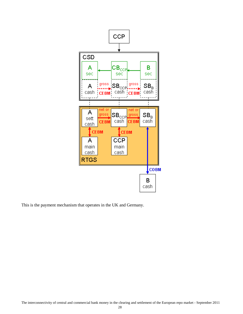

This is the payment mechanism that operates in the UK and Germany.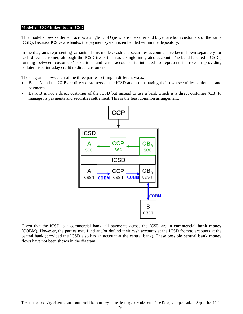#### **Model 2 CCP linked to an ICSD**

This model shows settlement across a single ICSD (ie where the seller and buyer are both customers of the same ICSD). Because ICSDs are banks, the payment system is embedded within the depository.

In the diagrams representing variants of this model, cash and securities accounts have been shown separately for each direct customer, although the ICSD treats them as a single integrated account. The band labelled "ICSD", running between customers' securities and cash accounts, is intended to represent its role in providing collateralised intraday credit to direct customers.

The diagram shows each of the three parties settling in different ways:

- Bank A and the CCP are direct customers of the ICSD and are managing their own securities settlement and payments.
- Bank B is not a direct customer of the ICSD but instead to use a bank which is a direct customer (CB) to manage its payments and securities settlement. This is the least common arrangement.



Given that the ICSD is a commercial bank, all payments across the ICSD are in **commercial bank money** (COBM). However, the parties may fund and/or defund their cash accounts at the ICSD from/to accounts at the central bank (provided the ICSD also has an account at the central bank). These possible **central bank money** flows have not been shown in the diagram.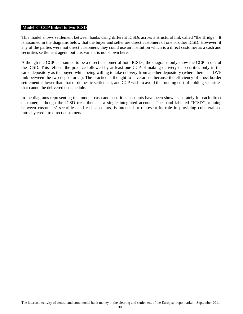#### **Model 3 CCP linked to two ICSD**

This model shows settlement between banks using different ICSDs across a structural link called "the Bridge". It is assumed in the diagrams below that the buyer and seller are direct customers of one or other ICSD. However, if any of the parties were not direct customers, they could use an institution which is a direct customer as a cash and securities settlement agent, but this variant is not shown here.

Although the CCP is assumed to be a direct customer of both ICSDs, the diagrams only show the CCP in one of the ICSD. This reflects the practice followed by at least one CCP of making delivery of securities only in the same depository as the buyer, while being willing to take delivery from another depository (where there is a DVP link between the two depositories). The practice is thought to have arisen because the efficiency of cross-border settlement is lower than that of domestic settlement, and CCP wish to avoid the funding cost of holding securities that cannot be delivered on schedule.

In the diagrams representing this model, cash and securities accounts have been shown separately for each direct customer, although the ICSD treat them as a single integrated account. The band labelled "ICSD", running between customers' securities and cash accounts, is intended to represent its role in providing collateralised intraday credit to direct customers.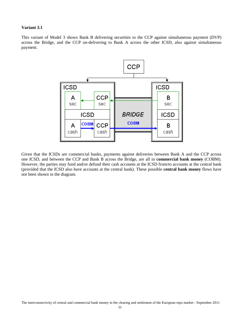#### **Variant 3.1**

This variant of Model 3 shows Bank B delivering securities to the CCP against simultaneous payment (DVP) across the Bridge, and the CCP on-delivering to Bank A across the other ICSD, also against simultaneous payment.



Given that the ICSDs are commercial banks, payments against deliveries between Bank A and the CCP across one ICSD, and between the CCP and Bank B across the Bridge, are all in **commercial bank money** (COBM). However, the parties may fund and/or defund their cash accounts at the ICSD from/to accounts at the central bank (provided that the ICSD also have accounts at the central bank). These possible **central bank money** flows have not been shown in the diagram.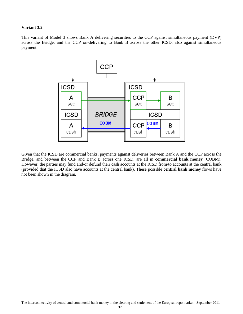#### **Variant 3.2**

This variant of Model 3 shows Bank A delivering securities to the CCP against simultaneous payment (DVP) across the Bridge, and the CCP on-delivering to Bank B across the other ICSD, also against simultaneous payment.



Given that the ICSD are commercial banks, payments against deliveries between Bank A and the CCP across the Bridge, and between the CCP and Bank B across one ICSD, are all in **commercial bank money** (COBM). However, the parties may fund and/or defund their cash accounts at the ICSD from/to accounts at the central bank (provided that the ICSD also have accounts at the central bank). These possible **central bank money** flows have not been shown in the diagram.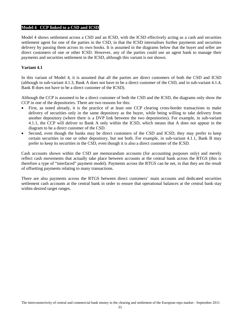#### **Model 4 CCP linked to a CSD and ICSD**

Model 4 shows settlement across a CSD and an ICSD, with the ICSD effectively acting as a cash and securities settlement agent for one of the parties in the CSD, in that the ICSD internalises further payments and securities delivery by passing them across its own books. It is assumed in the diagrams below that the buyer and seller are direct customers of one or other ICSD. However, any of the parties could use an agent bank to manage their payments and securities settlement in the ICSD, although this variant is not shown.

## **Variant 4.1**

In this variant of Model 4, it is assumed that all the parties are direct customers of both the CSD and ICSD (although in sub-variant 4.1.3, Bank A does not have to be a direct customer of the CSD, and in sub-variant 4.1.4, Bank B does not have to be a direct customer of the ICSD).

Although the CCP is assumed to be a direct customer of both the CSD and the ICSD, the diagrams only show the CCP in one of the depositories. There are two reasons for this:

- First, as noted already, it is the practice of at least one CCP clearing cross-border transactions to make delivery of securities only in the same depository as the buyer, while being willing to take delivery from another depository (where there is a DVP link between the two depositories). For example, in sub-variant 4.1.1, the CCP will deliver to Bank A only within the ICSD, which means that A does not appear in the diagram to be a direct customer of the CSD.
- Second, even though the banks may be direct customers of the CSD and ICSD, they may prefer to keep certain securities in one or other depository, but not both. For example, in sub-variant 4.1.1, Bank B may prefer to keep its securities in the CSD, even though it is also a direct customer of the ICSD.

Cash accounts shown within the CSD are memorandum accounts (for accounting purposes only) and merely reflect cash movements that actually take place between accounts at the central bank across the RTGS (this is therefore a type of "interfaced" payment model). Payments across the RTGS can be net, in that they are the result of offsetting payments relating to many transactions.

There are also payments across the RTGS between direct customers' main accounts and dedicated securities settlement cash accounts at the central bank in order to ensure that operational balances at the central bank stay within desired target ranges.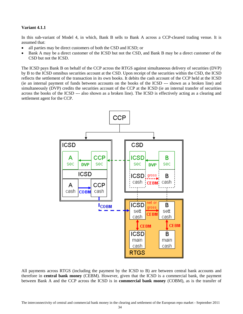#### **Variant 4.1.1**

In this sub-variant of Model 4, in which, Bank B sells to Bank A across a CCP-cleared trading venue. It is assumed that:

- all parties may be direct customers of both the CSD and ICSD; or
- Bank A may be a direct customer of the ICSD but not the CSD, and Bank B may be a direct customer of the CSD but not the ICSD.

The ICSD pays Bank B on behalf of the CCP across the RTGS against simultaneous delivery of securities (DVP) by B to the ICSD omnibus securities account at the CSD. Upon receipt of the securities within the CSD, the ICSD reflects the settlement of the transaction in its own books. It debits the cash account of the CCP held at the ICSD (ie an internal payment of funds between accounts on the books of the ICSD --- shown as a broken line) and simultaneously (DVP) credits the securities account of the CCP at the ICSD (ie an internal transfer of securities across the books of the ICSD --- also shown as a broken line). The ICSD is effectively acting as a clearing and settlement agent for the CCP.



All payments across RTGS (including the payment by the ICSD to B) are between central bank accounts and therefore in **central bank money** (CEBM). However, given that the ICSD is a commercial bank, the payment between Bank A and the CCP across the ICSD is in **commercial bank money** (COBM), as is the transfer of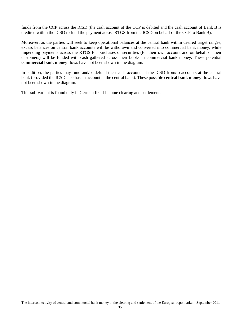funds from the CCP across the ICSD (the cash account of the CCP is debited and the cash account of Bank B is credited within the ICSD to fund the payment across RTGS from the ICSD on behalf of the CCP to Bank B).

Moreover, as the parties will seek to keep operational balances at the central bank within desired target ranges, excess balances on central bank accounts will be withdrawn and converted into commercial bank money, while impending payments across the RTGS for purchases of securities (for their own account and on behalf of their customers) will be funded with cash gathered across their books in commercial bank money. These potential **commercial bank money** flows have not been shown in the diagram.

In addition, the parties may fund and/or defund their cash accounts at the ICSD from/to accounts at the central bank (provided the ICSD also has an account at the central bank). These possible **central bank money** flows have not been shown in the diagram.

This sub-variant is found only in German fixed-income clearing and settlement.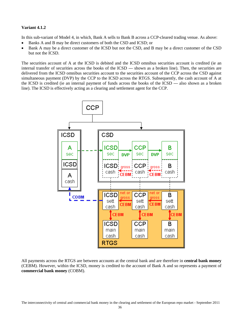## **Variant 4.1.2**

In this sub-variant of Model 4, in which, Bank A sells to Bank B across a CCP-cleared trading venue. As above:

- Banks A and B may be direct customers of both the CSD and ICSD; or
- Bank A may be a direct customer of the ICSD but not the CSD, and B may be a direct customer of the CSD but not the ICSD.

The securities account of A at the ICSD is debited and the ICSD omnibus securities account is credited (ie an internal transfer of securities across the books of the ICSD --- shown as a broken line). Then, the securities are delivered from the ICSD omnibus securities account to the securities account of the CCP across the CSD against simultaneous payment (DVP) by the CCP to the ICSD across the RTGS. Subsequently, the cash account of A at the ICSD is credited (ie an internal payment of funds across the books of the ICSD --- also shown as a broken line). The ICSD is effectively acting as a clearing and settlement agent for the CCP.



All payments across the RTGS are between accounts at the central bank and are therefore in **central bank money** (CEBM). However, within the ICSD, money is credited to the account of Bank A and so represents a payment of **commercial bank money** (COBM).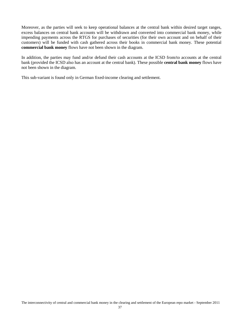Moreover, as the parties will seek to keep operational balances at the central bank within desired target ranges, excess balances on central bank accounts will be withdrawn and converted into commercial bank money, while impending payments across the RTGS for purchases of securities (for their own account and on behalf of their customers) will be funded with cash gathered across their books in commercial bank money. These potential **commercial bank money** flows have not been shown in the diagram.

In addition, the parties may fund and/or defund their cash accounts at the ICSD from/to accounts at the central bank (provided the ICSD also has an account at the central bank). These possible **central bank money** flows have not been shown in the diagram.

This sub-variant is found only in German fixed-income clearing and settlement.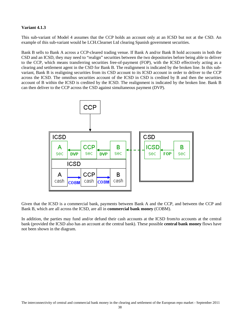## **Variant 4.1.3**

This sub-variant of Model 4 assumes that the CCP holds an account only at an ICSD but not at the CSD. An example of this sub-variant would be LCH.Clearnet Ltd clearing Spanish government securities.

Bank B sells to Bank A across a CCP-cleared trading venue. If Bank A and/or Bank B hold accounts in both the CSD and an ICSD, they may need to "realign" securities between the two depositories before being able to deliver to the CCP, which means transferring securities free-of-payment (FOP), with the ICSD effectively acting as a clearing and settlement agent in the CSD for Bank B. The realignment is indicated by the broken line. In this subvariant, Bank B is realigning securities from its CSD account to its ICSD account in order to deliver to the CCP across the ICSD. The omnibus securities account of the ICSD in CSD is credited by B and then the securities account of B within the ICSD is credited by the ICSD. The realignment is indicated by the broken line. Bank B can then deliver to the CCP across the CSD against simultaneous payment (DVP).



Given that the ICSD is a commercial bank, payments between Bank A and the CCP, and between the CCP and Bank B, which are all across the ICSD, are all in **commercial bank money** (COBM).

In addition, the parties may fund and/or defund their cash accounts at the ICSD from/to accounts at the central bank (provided the ICSD also has an account at the central bank). These possible **central bank money** flows have not been shown in the diagram.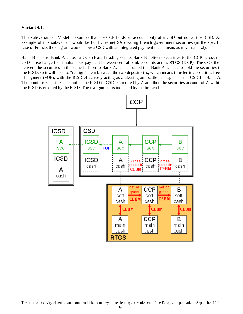## **Variant 4.1.4**

This sub-variant of Model 4 assumes that the CCP holds an account only at a CSD but not at the ICSD. An example of this sub-variant would be LCH.Clearnet SA clearing French government securities (in the specific case of France, the diagram would show a CSD with an integrated payment mechanism, as in variant 1.2).

Bank B sells to Bank A across a CCP-cleared trading venue. Bank B delivers securities to the CCP across the CSD in exchange for simultaneous payment between central bank accounts across RTGS (DVP). The CCP then delivers the securities in the same fashion to Bank A. It is assumed that Bank A wishes to hold the securities in the ICSD, so it will need to "realign" them between the two depositories, which means transferring securities freeof-payment (FOP), with the ICSD effectively acting as a clearing and settlement agent in the CSD for Bank A. The omnibus securities account of the ICSD in CSD is credited by A and then the securities account of A within the ICSD is credited by the ICSD. The realignment is indicated by the broken line.

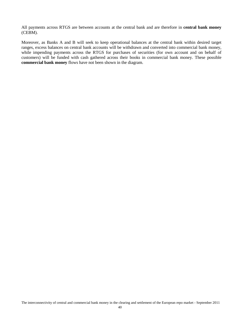All payments across RTGS are between accounts at the central bank and are therefore in **central bank money** (CEBM).

Moreover, as Banks A and B will seek to keep operational balances at the central bank within desired target ranges, excess balances on central bank accounts will be withdrawn and converted into commercial bank money, while impending payments across the RTGS for purchases of securities (for own account and on behalf of customers) will be funded with cash gathered across their books in commercial bank money. These possible **commercial bank money** flows have not been shown in the diagram.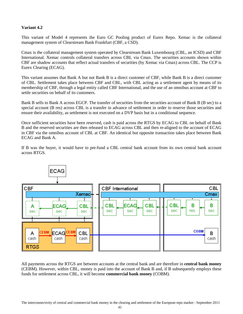# **Variant 4.2**

This variant of Model 4 represents the Euro GC Pooling product of Eurex Repo. Xemac is the collateral management system of Clearstream Bank Frankfurt (CBF, a CSD).

Cmax is the collateral management system operated by Clearstream Bank Luxembourg (CBL, an ICSD) and CBF International. Xemac controls collateral transfers across CBL via Cmax. The securities accounts shown within CBF are shadow accounts that reflect actual transfers of securities (by Xemac via Cmax) across CBL. The CCP is Eurex Clearing (ECAG).

This variant assumes that Bank A but not Bank B is a direct customer of CBF, while Bank B is a direct customer of CBL. Settlement takes place between CBF and CBL, with CBL acting as a settlement agent by means of its membership of CBF, through a legal entity called CBF International, and the use of an omnibus account at CBF to settle securities on behalf of its customers.

Bank B sells to Bank A across EGCP. The transfer of securities from the securities account of Bank B (B sec) to a special account (B res) across CBL is a transfer in advance of settlement in order to reserve those securities and ensure their availability, as settlement is not executed on a DVP basis but in a conditional sequence.

Once sufficient securities have been reserved, cash is paid across the RTGS by ECAG to CBL on behalf of Bank B and the reserved securities are then released to ECAG across CBL and then re-aligned to the account of ECAG in CBF via the omnibus account of CBL at CBF. An identical but opposite transaction takes place between Bank ECAG and Bank A.

If B was the buyer, it would have to pre-fund a CBL central bank account from its own central bank account across RTGS.



All payments across the RTGS are between accounts at the central bank and are therefore in **central bank money** (CEBM). However, within CBL, money is paid into the account of Bank B and, if B subsequently employs these funds for settlement across CBL, it will become **commercial bank money** (COBM).

The interconnectivity of central and commercial bank money in the clearing and settlement of the European repo market - September 2011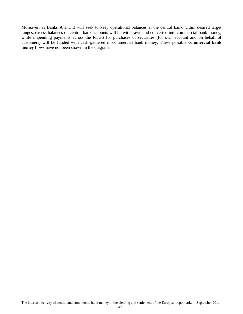Moreover, as Banks A and B will seek to keep operational balances at the central bank within desired target ranges, excess balances on central bank accounts will be withdrawn and converted into commercial bank money, while impending payments across the RTGS for purchases of securities (for own account and on behalf of customers) will be funded with cash gathered in commercial bank money. These possible **commercial bank money** flows have not been shown in the diagram.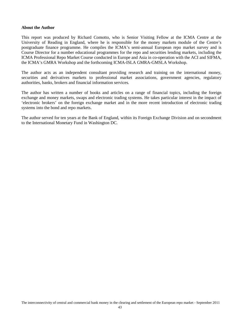#### **About the Author**

This report was produced by Richard Comotto, who is Senior Visiting Fellow at the ICMA Centre at the University of Reading in England, where he is responsible for the money markets module of the Centre's postgraduate finance programme. He compiles the ICMA's semi-annual European repo market survey and is Course Director for a number educational programmes for the repo and securities lending markets, including the ICMA Professional Repo Market Course conducted in Europe and Asia in co-operation with the ACI and SIFMA, the ICMA's GMRA Workshop and the forthcoming ICMA-ISLA GMRA-GMSLA Workshop.

The author acts as an independent consultant providing research and training on the international money, securities and derivatives markets to professional market associations, government agencies, regulatory authorities, banks, brokers and financial information services.

The author has written a number of books and articles on a range of financial topics, including the foreign exchange and money markets, swaps and electronic trading systems. He takes particular interest in the impact of 'electronic brokers' on the foreign exchange market and in the more recent introduction of electronic trading systems into the bond and repo markets.

The author served for ten years at the Bank of England, within its Foreign Exchange Division and on secondment to the International Monetary Fund in Washington DC.